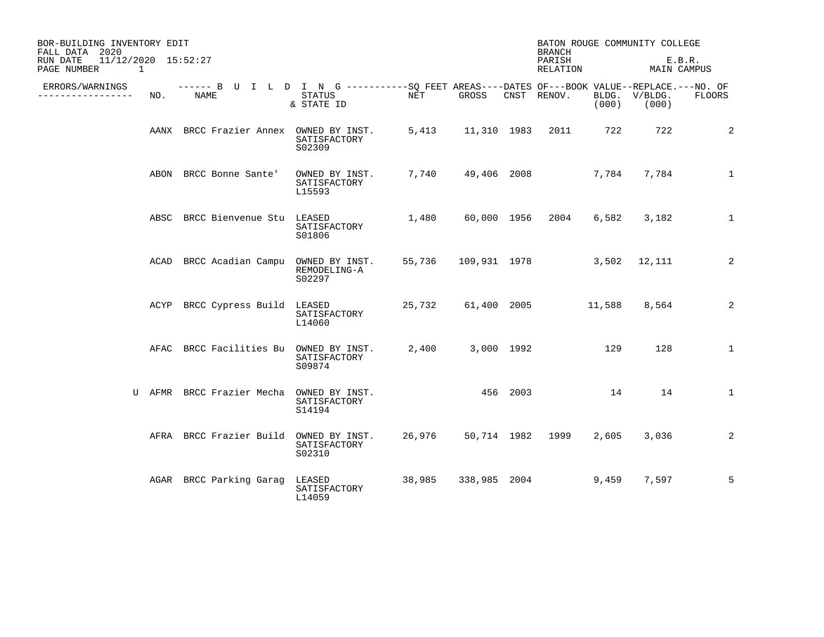| BOR-BUILDING INVENTORY EDIT<br>FALL DATA 2020                      |      |                                                                                                    |                                          |        |              |            | <b>BRANCH</b>      |        | BATON ROUGE COMMUNITY COLLEGE |               |
|--------------------------------------------------------------------|------|----------------------------------------------------------------------------------------------------|------------------------------------------|--------|--------------|------------|--------------------|--------|-------------------------------|---------------|
| $11/12/2020$ $15:52:27$<br>RUN DATE<br>$\mathbf{1}$<br>PAGE NUMBER |      |                                                                                                    |                                          |        |              |            | PARISH<br>RELATION |        | MAIN CAMPUS                   | E.B.R.        |
| ERRORS/WARNINGS<br>--------------                                  | NO.  | ------ B U I L D I N G ----------SO FEET AREAS----DATES OF---BOOK VALUE--REPLACE.---NO. OF<br>NAME | STATUS<br>& STATE ID                     | NET    | GROSS        |            | CNST RENOV.        | (000)  | BLDG. V/BLDG.<br>(000)        | <b>FLOORS</b> |
|                                                                    |      | AANX BRCC Frazier Annex OWNED BY INST.                                                             | SATISFACTORY<br>S02309                   | 5,413  |              |            | 11,310 1983 2011   | 722    | 722                           | 2             |
|                                                                    |      | ABON BRCC Bonne Sante'                                                                             | OWNED BY INST.<br>SATISFACTORY<br>L15593 | 7,740  | 49,406 2008  |            |                    | 7,784  | 7,784                         | $\mathbf{1}$  |
|                                                                    | ABSC | BRCC Bienvenue Stu LEASED                                                                          | SATISFACTORY<br>S01806                   | 1,480  |              |            | 60,000 1956 2004   | 6,582  | 3,182                         | $\mathbf{1}$  |
|                                                                    | ACAD | BRCC Acadian Campu                                                                                 | OWNED BY INST.<br>REMODELING-A<br>S02297 | 55,736 |              |            | 109,931 1978       |        | 3,502 12,111                  | 2             |
|                                                                    | ACYP | BRCC Cypress Build LEASED                                                                          | SATISFACTORY<br>L14060                   | 25,732 | 61,400 2005  |            |                    | 11,588 | 8,564                         | 2             |
|                                                                    | AFAC | BRCC Facilities Bu OWNED BY INST.                                                                  | SATISFACTORY<br>S09874                   | 2,400  |              | 3,000 1992 |                    | 129    | 128                           | $\mathbf{1}$  |
|                                                                    |      | U AFMR BRCC Frazier Mecha                                                                          | OWNED BY INST.<br>SATISFACTORY<br>S14194 |        | 456 2003     |            |                    | 14     | 14                            | 1             |
|                                                                    |      | AFRA BRCC Frazier Build                                                                            | OWNED BY INST.<br>SATISFACTORY<br>S02310 | 26,976 |              |            | 50,714 1982 1999   | 2,605  | 3,036                         | 2             |
|                                                                    |      | AGAR BRCC Parking Garag                                                                            | LEASED<br>SATISFACTORY<br>L14059         | 38,985 | 338,985 2004 |            |                    | 9,459  | 7,597                         | 5             |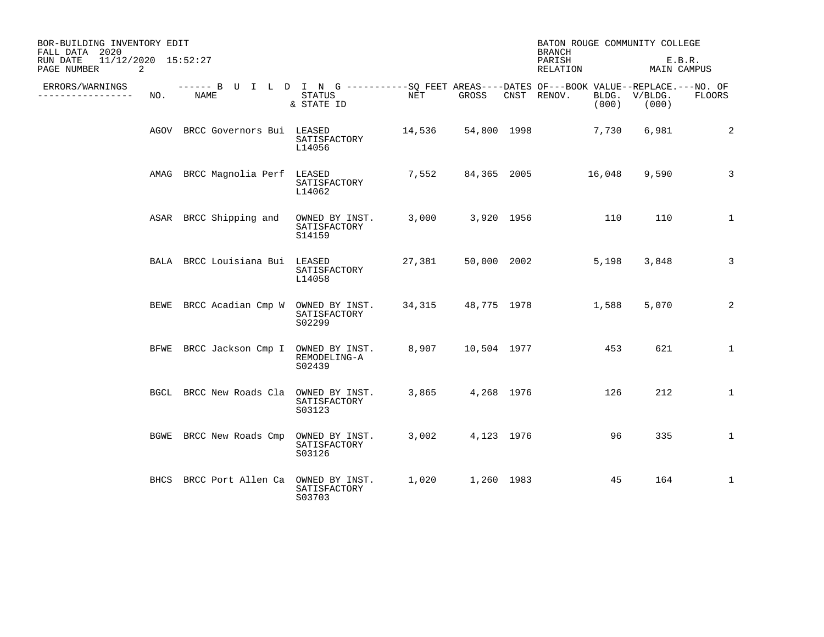| BOR-BUILDING INVENTORY EDIT<br>FALL DATA 2020       |     |                                                                                                    |                                          |        |                  | BATON ROUGE COMMUNITY COLLEGE<br><b>BRANCH</b> |                        |                       |
|-----------------------------------------------------|-----|----------------------------------------------------------------------------------------------------|------------------------------------------|--------|------------------|------------------------------------------------|------------------------|-----------------------|
| 11/12/2020 15:52:27<br>RUN DATE<br>PAGE NUMBER<br>2 |     |                                                                                                    |                                          |        |                  | PARISH<br>RELATION                             |                        | E.B.R.<br>MAIN CAMPUS |
| ERRORS/WARNINGS<br>------------                     | NO. | ------ B U I L D I N G ----------SQ FEET AREAS----DATES OF---BOOK VALUE--REPLACE.---NO. OF<br>NAME | STATUS<br>& STATE ID                     | NET    | GROSS            | CNST RENOV.<br>(000)                           | BLDG. V/BLDG.<br>(000) | FLOORS                |
|                                                     |     | AGOV BRCC Governors Bui LEASED                                                                     | SATISFACTORY<br>L14056                   | 14,536 | 54,800 1998      | 7,730                                          | 6,981                  | 2                     |
|                                                     |     | AMAG BRCC Magnolia Perf LEASED                                                                     | SATISFACTORY<br>L14062                   | 7,552  | 84,365 2005      | 16,048                                         | 9,590                  | 3                     |
|                                                     |     | ASAR BRCC Shipping and                                                                             | OWNED BY INST.<br>SATISFACTORY<br>S14159 |        | 3,000 3,920 1956 | 110                                            | 110                    | $\mathbf{1}$          |
|                                                     |     | BALA BRCC Louisiana Bui LEASED                                                                     | SATISFACTORY<br>L14058                   | 27,381 |                  | 50,000 2002<br>5,198                           | 3,848                  | 3                     |
|                                                     |     | BEWE BRCC Acadian Cmp W OWNED BY INST.                                                             | SATISFACTORY<br>S02299                   |        |                  | 34,315 48,775 1978<br>1,588                    | 5,070                  | 2                     |
|                                                     |     | BFWE BRCC Jackson Cmp I OWNED BY INST.                                                             | REMODELING-A<br>S02439                   | 8,907  | 10,504 1977      |                                                | 453<br>621             | $\mathbf{1}$          |
|                                                     |     | BGCL BRCC New Roads Cla OWNED BY INST.                                                             | SATISFACTORY<br>S03123                   | 3,865  | 4,268 1976       |                                                | 126<br>212             | $\mathbf{1}$          |
|                                                     |     | BGWE BRCC New Roads Cmp                                                                            | OWNED BY INST.<br>SATISFACTORY<br>S03126 | 3,002  | 4,123 1976       |                                                | 335<br>96              | $\mathbf{1}$          |
|                                                     |     | BHCS BRCC Port Allen Ca OWNED BY INST.                                                             | SATISFACTORY<br>S03703                   | 1,020  | 1,260 1983       |                                                | 45<br>164              | $\mathbf{1}$          |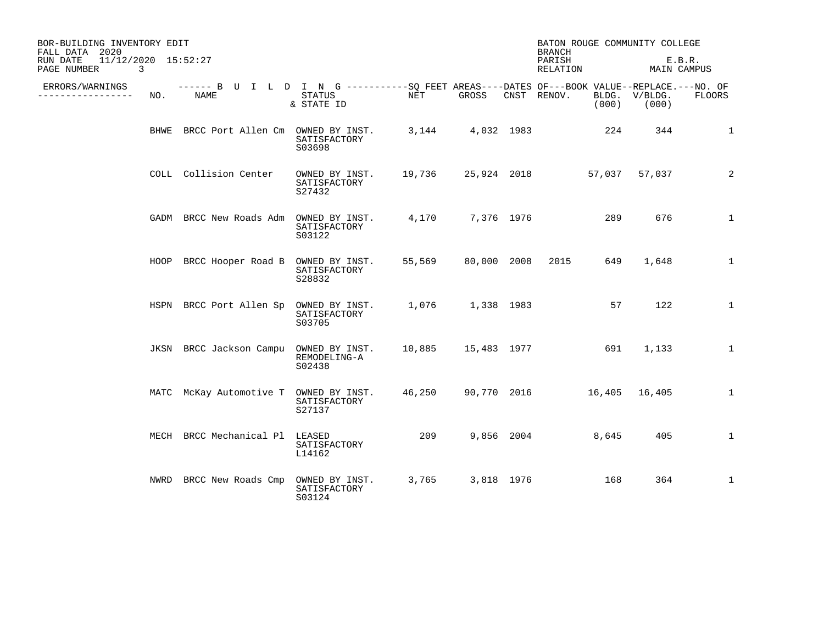| BOR-BUILDING INVENTORY EDIT<br>FALL DATA 2020       |     |                                                                                                    |                                          |        |                  |            | <b>BRANCH</b>                    |       | BATON ROUGE COMMUNITY COLLEGE |              |
|-----------------------------------------------------|-----|----------------------------------------------------------------------------------------------------|------------------------------------------|--------|------------------|------------|----------------------------------|-------|-------------------------------|--------------|
| 11/12/2020 15:52:27<br>RUN DATE<br>PAGE NUMBER<br>3 |     |                                                                                                    |                                          |        |                  |            | PARISH<br>RELATION               |       | MAIN CAMPUS                   | E.B.R.       |
| ERRORS/WARNINGS<br>--------------                   | NO. | ------ B U I L D I N G ----------SO FEET AREAS----DATES OF---BOOK VALUE--REPLACE.---NO. OF<br>NAME | STATUS<br>& STATE ID                     | NET    | GROSS            |            | CNST RENOV.                      | (000) | BLDG. V/BLDG.<br>(000)        | FLOORS       |
|                                                     |     | BHWE BRCC Port Allen Cm OWNED BY INST. 3,144 4,032 1983                                            | SATISFACTORY<br>S03698                   |        |                  |            |                                  | 224   | 344                           | 1            |
|                                                     |     | COLL Collision Center                                                                              | OWNED BY INST.<br>SATISFACTORY<br>S27432 | 19,736 |                  |            | 25,924 2018 57,037 57,037        |       |                               | 2            |
|                                                     |     | GADM BRCC New Roads Adm OWNED BY INST.                                                             | SATISFACTORY<br>S03122                   |        | 4,170 7,376 1976 |            |                                  | 289   | 676                           | $\mathbf{1}$ |
|                                                     |     | HOOP BRCC Hooper Road B                                                                            | OWNED BY INST.<br>SATISFACTORY<br>S28832 | 55,569 |                  |            | 80,000 2008 2015                 | 649   | 1,648                         | $\mathbf 1$  |
|                                                     |     | HSPN BRCC Port Allen Sp OWNED BY INST. 1,076 1,338 1983                                            | SATISFACTORY<br>S03705                   |        |                  |            |                                  | 57    | 122                           | $\mathbf{1}$ |
|                                                     |     | JKSN BRCC Jackson Campu OWNED BY INST.                                                             | REMODELING-A<br>S02438                   |        |                  |            | 10,885 15,483 1977 691           |       | 1,133                         | 1            |
|                                                     |     | MATC McKay Automotive T OWNED BY INST.                                                             | SATISFACTORY<br>S27137                   |        |                  |            | 46,250 90,770 2016 16,405 16,405 |       |                               | $\mathbf{1}$ |
|                                                     |     | MECH BRCC Mechanical Pl LEASED                                                                     | SATISFACTORY<br>L14162                   | 209    |                  |            | 9,856 2004                       | 8,645 | 405                           | $\mathbf 1$  |
|                                                     |     | NWRD BRCC New Roads Cmp                                                                            | OWNED BY INST.<br>SATISFACTORY<br>S03124 | 3,765  |                  | 3,818 1976 |                                  | 168   | 364                           | $\mathbf{1}$ |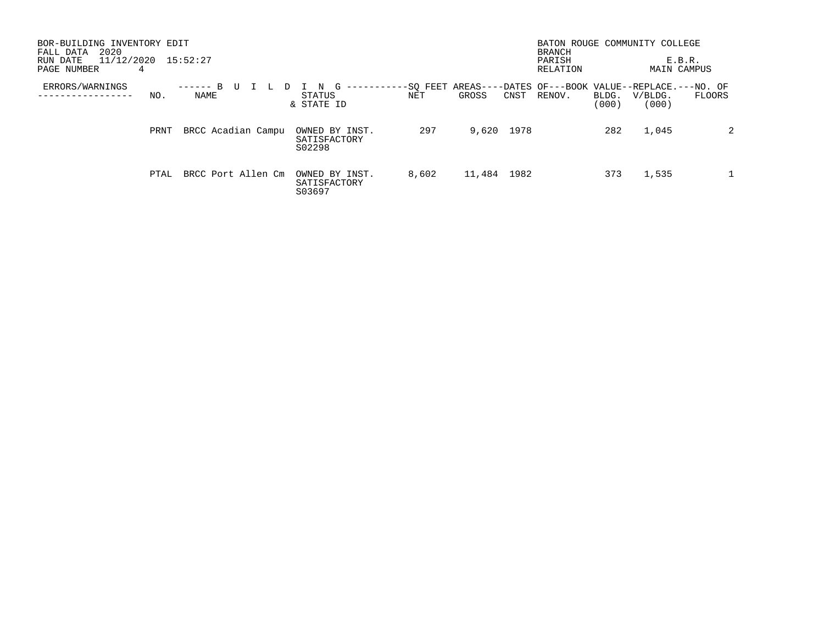| BOR-BUILDING INVENTORY EDIT<br>2020<br>FALL DATA<br>11/12/2020<br>RUN DATE<br>PAGE NUMBER<br>4 | 15:52:27           |                                          |                 |             |      | BATON ROUGE COMMUNITY COLLEGE<br>BRANCH<br>PARISH<br>RELATION |                |                  | E.B.R.<br>MAIN CAMPUS |
|------------------------------------------------------------------------------------------------|--------------------|------------------------------------------|-----------------|-------------|------|---------------------------------------------------------------|----------------|------------------|-----------------------|
| ERRORS/WARNINGS<br>NO.                                                                         | B<br>NAME          | G<br>STATUS<br>& STATE ID                | -SO FEET<br>NET | GROSS       | CNST | AREAS----DATES OF---BOOK VALUE--REPLACE.---NO. OF<br>RENOV.   | BLDG.<br>(000) | V/BLDG.<br>(000) | FLOORS                |
| PRNT                                                                                           | BRCC Acadian Campu | OWNED BY INST.<br>SATISFACTORY<br>S02298 | 297             | 9,620       | 1978 |                                                               | 282            | 1,045            | 2                     |
| PTAL                                                                                           | BRCC Port Allen Cm | OWNED BY INST.<br>SATISFACTORY<br>S03697 | 8,602           | 11,484 1982 |      |                                                               | 373            | 1,535            |                       |